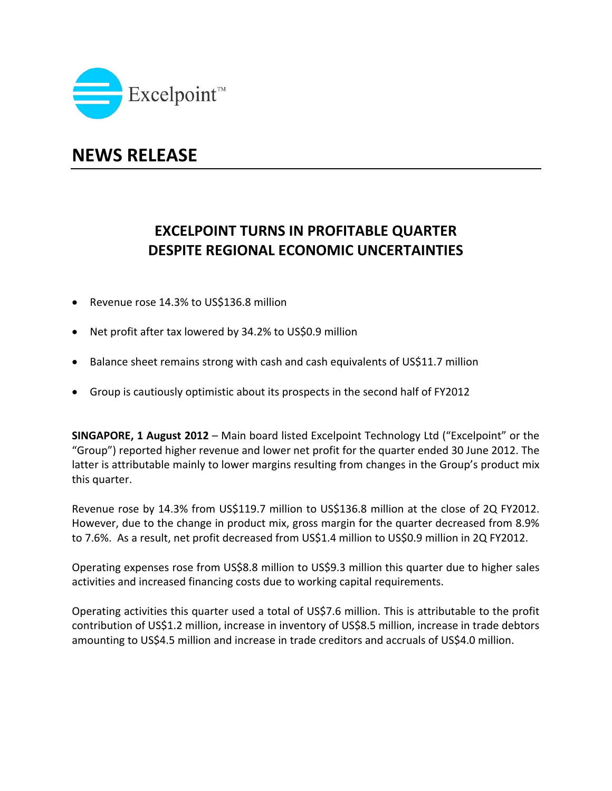

## **NEWS RELEASE**

## **EXCELPOINT TURNS IN PROFITABLE QUARTER DESPITE REGIONAL ECONOMIC UNCERTAINTIES**

- Revenue rose 14.3% to US\$136.8 million
- Net profit after tax lowered by 34.2% to US\$0.9 million
- Balance sheet remains strong with cash and cash equivalents of US\$11.7 million
- Group is cautiously optimistic about its prospects in the second half of FY2012

**SINGAPORE, 1 August 2012** – Main board listed Excelpoint Technology Ltd ("Excelpoint" or the "Group") reported higher revenue and lower net profit for the quarter ended 30 June 2012. The latter is attributable mainly to lower margins resulting from changes in the Group's product mix this quarter.

Revenue rose by 14.3% from US\$119.7 million to US\$136.8 million at the close of 2Q FY2012. However, due to the change in product mix, gross margin for the quarter decreased from 8.9% to 7.6%. As a result, net profit decreased from US\$1.4 million to US\$0.9 million in 2Q FY2012.

Operating expenses rose from US\$8.8 million to US\$9.3 million this quarter due to higher sales activities and increased financing costs due to working capital requirements.

Operating activities this quarter used a total of US\$7.6 million. This is attributable to the profit contribution of US\$1.2 million, increase in inventory of US\$8.5 million, increase in trade debtors amounting to US\$4.5 million and increase in trade creditors and accruals of US\$4.0 million.